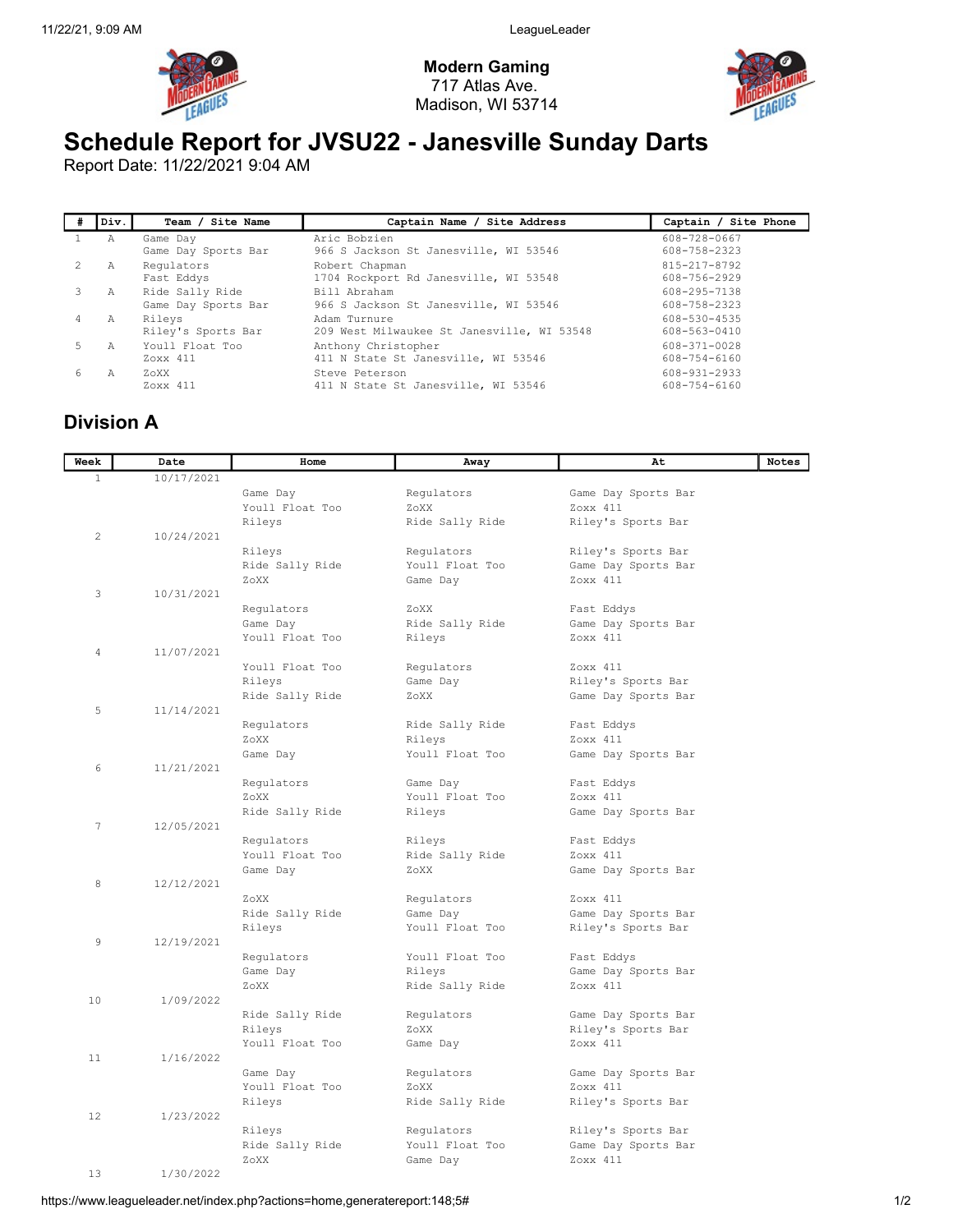Modern Gaming 717 Atlas Ave. Madison, WI 53714



## Schedule Report for JVSU22 - Janesville Sunday Darts

Report Date: 11/22/2021 9:04 AM

|                | Div. | Team / Site Name                                | Captain Name / Site Address                                | Captain / Site Phone               |
|----------------|------|-------------------------------------------------|------------------------------------------------------------|------------------------------------|
|                | Α    | Game Day                                        | Aric Bobzien<br>966 S Jackson St Janesville, WI 53546      | 608-728-0667<br>608-758-2323       |
|                | A    | Game Day Sports Bar<br>Regulators<br>Fast Eddys | Robert Chapman<br>1704 Rockport Rd Janesville, WI 53548    | 815-217-8792<br>608-756-2929       |
|                | Α    | Ride Sally Ride<br>Game Day Sports Bar          | Bill Abraham<br>966 S Jackson St Janesville, WI 53546      | 608-295-7138<br>608-758-2323       |
| $\overline{4}$ | Α    | Rileys<br>Riley's Sports Bar                    | Adam Turnure<br>209 West Milwaukee St Janesville, WI 53548 | 608-530-4535<br>608-563-0410       |
|                | Α    | Youll Float Too<br>Zoxx 411                     | Anthony Christopher<br>411 N State St Janesville, WI 53546 | 608-371-0028<br>608-754-6160       |
| 6              | A    | ZoXX<br>Zoxx 411                                | Steve Peterson<br>411 N State St Janesville, WI 53546      | $608 - 931 - 2933$<br>608-754-6160 |

## Division A

| Week         | Date       | Home                          | Away                      | At                  | Notes |
|--------------|------------|-------------------------------|---------------------------|---------------------|-------|
| $\mathbf{1}$ | 10/17/2021 |                               |                           |                     |       |
|              |            | Game Day                      | Regulators                | Game Day Sports Bar |       |
|              |            | Youll Float Too               | ZoXX                      | Zoxx 411            |       |
|              |            | Rileys                        | Ride Sally Ride           | Riley's Sports Bar  |       |
| $\mathbf{2}$ | 10/24/2021 |                               |                           |                     |       |
|              |            | Rileys                        | Regulators                | Riley's Sports Bar  |       |
|              |            | Ride Sally Ride               | Youll Float Too           | Game Day Sports Bar |       |
|              |            | ZoXX                          | Game Day                  | Zoxx 411            |       |
| 3            | 10/31/2021 |                               |                           |                     |       |
|              |            | Regulators                    | ZoXX                      | Fast Eddys          |       |
|              |            | Game Day                      | Ride Sally Ride           | Game Day Sports Bar |       |
|              |            | Youll Float Too               | Rileys                    | Zoxx 411            |       |
| 4            | 11/07/2021 |                               |                           |                     |       |
|              |            | Youll Float Too               | Regulators                | Zoxx 411            |       |
|              |            | Rileys                        | Game Day                  | Riley's Sports Bar  |       |
|              |            | Ride Sally Ride               | ZoXX                      | Game Day Sports Bar |       |
| 5            | 11/14/2021 |                               |                           |                     |       |
|              |            | Regulators                    | Ride Sally Ride           | Fast Eddys          |       |
|              |            | ZoXX                          | Rileys                    | Zoxx 411            |       |
|              |            | Game Day                      | Youll Float Too           | Game Day Sports Bar |       |
| 6            | 11/21/2021 |                               |                           |                     |       |
|              |            | Requlators                    | Game Day                  | Fast Eddys          |       |
|              |            | ZoXX                          | Youll Float Too           | Zoxx 411            |       |
| 7            | 12/05/2021 | Ride Sally Ride               | Rileys                    | Game Day Sports Bar |       |
|              |            |                               |                           | Fast Eddys          |       |
|              |            | Regulators<br>Youll Float Too | Rileys<br>Ride Sally Ride | Zoxx 411            |       |
|              |            | Game Day                      | ZoXX                      | Game Day Sports Bar |       |
| 8            | 12/12/2021 |                               |                           |                     |       |
|              |            | ZoXX                          | Regulators                | Zoxx 411            |       |
|              |            | Ride Sally Ride               | Game Day                  | Game Day Sports Bar |       |
|              |            | Rileys                        | Youll Float Too           | Riley's Sports Bar  |       |
| 9            | 12/19/2021 |                               |                           |                     |       |
|              |            | Regulators                    | Youll Float Too           | Fast Eddys          |       |
|              |            | Game Day                      | Rileys                    | Game Day Sports Bar |       |
|              |            | ZoXX                          | Ride Sally Ride           | Zoxx 411            |       |
| 10           | 1/09/2022  |                               |                           |                     |       |
|              |            | Ride Sally Ride               | Regulators                | Game Day Sports Bar |       |
|              |            | Rileys                        | ZoXX                      | Riley's Sports Bar  |       |
|              |            | Youll Float Too               | Game Day                  | Zoxx 411            |       |
| 11           | 1/16/2022  |                               |                           |                     |       |
|              |            | Game Day                      | Regulators                | Game Day Sports Bar |       |
|              |            | Youll Float Too               | ZoXX                      | Zoxx 411            |       |
|              |            | Rileys                        | Ride Sally Ride           | Riley's Sports Bar  |       |
| 12           | 1/23/2022  |                               |                           |                     |       |
|              |            | Rileys                        | Regulators                | Riley's Sports Bar  |       |
|              |            | Ride Sally Ride               | Youll Float Too           | Game Day Sports Bar |       |
|              |            | ZoXX                          | Game Day                  | Zoxx 411            |       |
| 13           | 1/30/2022  |                               |                           |                     |       |